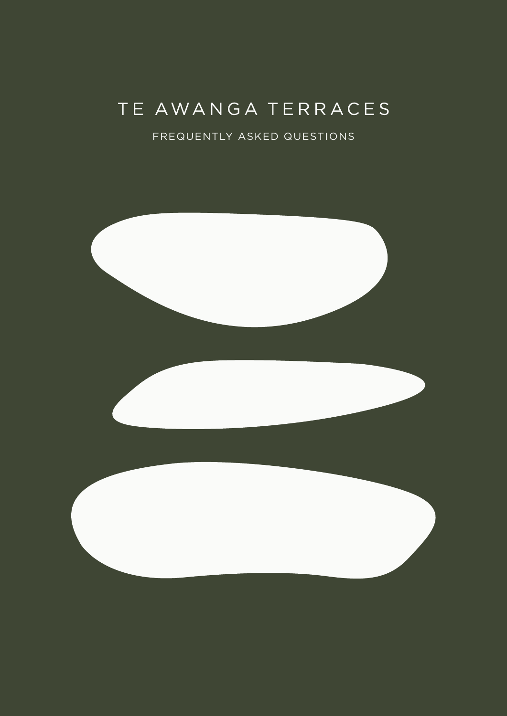# TE AWANGA TERRACES

#### FREQUENTLY ASKED QUESTIONS

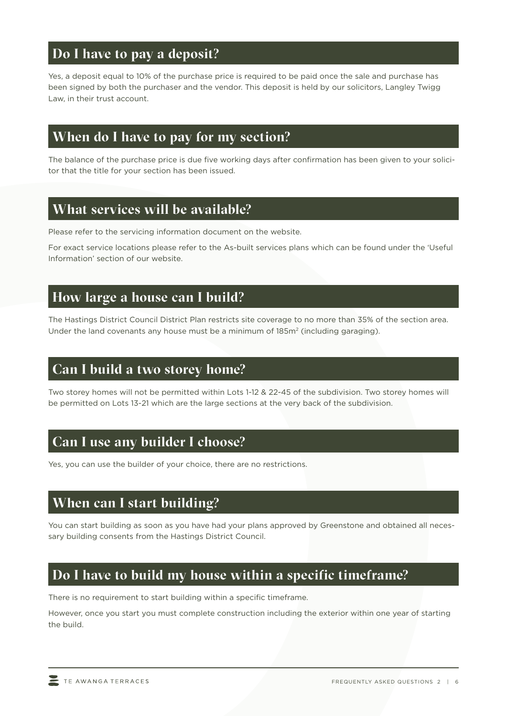### **Do I have to pay a deposit?**

Yes, a deposit equal to 10% of the purchase price is required to be paid once the sale and purchase has been signed by both the purchaser and the vendor. This deposit is held by our solicitors, Langley Twigg Law, in their trust account.

### **When do I have to pay for my section?**

The balance of the purchase price is due five working days after confirmation has been given to your solicitor that the title for your section has been issued.

### **What services will be available?**

Please refer to the servicing information document on the website.

For exact service locations please refer to the As-built services plans which can be found under the 'Useful Information' section of our website.

# **How large a house can I build?**

The Hastings District Council District Plan restricts site coverage to no more than 35% of the section area. Under the land covenants any house must be a minimum of 185m<sup>2</sup> (including garaging).

### **Can I build a two storey home?**

Two storey homes will not be permitted within Lots 1-12 & 22-45 of the subdivision. Two storey homes will be permitted on Lots 13-21 which are the large sections at the very back of the subdivision.

# **Can I use any builder I choose?**

Yes, you can use the builder of your choice, there are no restrictions.

# **When can I start building?**

You can start building as soon as you have had your plans approved by Greenstone and obtained all necessary building consents from the Hastings District Council.

# **Do I have to build my house within a specific timeframe?**

There is no requirement to start building within a specific timeframe.

However, once you start you must complete construction including the exterior within one year of starting the build.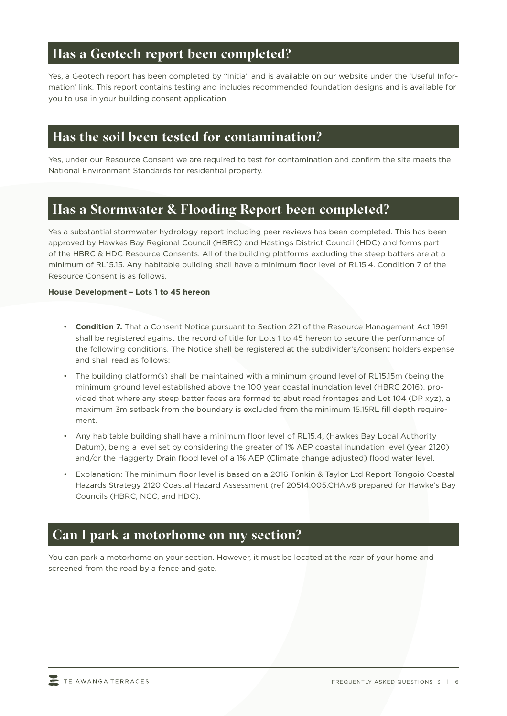#### **Has a Geotech report been completed?**

Yes, a Geotech report has been completed by "Initia" and is available on our website under the 'Useful Information' link. This report contains testing and includes recommended foundation designs and is available for you to use in your building consent application.

### **Has the soil been tested for contamination?**

Yes, under our Resource Consent we are required to test for contamination and confirm the site meets the National Environment Standards for residential property.

### **Has a Stormwater & Flooding Report been completed?**

Yes a substantial stormwater hydrology report including peer reviews has been completed. This has been approved by Hawkes Bay Regional Council (HBRC) and Hastings District Council (HDC) and forms part of the HBRC & HDC Resource Consents. All of the building platforms excluding the steep batters are at a minimum of RL15.15. Any habitable building shall have a minimum floor level of RL15.4. Condition 7 of the Resource Consent is as follows.

#### **House Development – Lots 1 to 45 hereon**

- **Condition 7.** That a Consent Notice pursuant to Section 221 of the Resource Management Act 1991 shall be registered against the record of title for Lots 1 to 45 hereon to secure the performance of the following conditions. The Notice shall be registered at the subdivider's/consent holders expense and shall read as follows:
- The building platform(s) shall be maintained with a minimum ground level of RL15.15m (being the minimum ground level established above the 100 year coastal inundation level (HBRC 2016), provided that where any steep batter faces are formed to abut road frontages and Lot 104 (DP xyz), a maximum 3m setback from the boundary is excluded from the minimum 15.15RL fill depth requirement.
- Any habitable building shall have a minimum floor level of RL15.4, (Hawkes Bay Local Authority Datum), being a level set by considering the greater of 1% AEP coastal inundation level (year 2120) and/or the Haggerty Drain flood level of a 1% AEP (Climate change adjusted) flood water level.
- Explanation: The minimum floor level is based on a 2016 Tonkin & Taylor Ltd Report Tongoio Coastal Hazards Strategy 2120 Coastal Hazard Assessment (ref 20514.005.CHA.v8 prepared for Hawke's Bay Councils (HBRC, NCC, and HDC).

#### **Can I park a motorhome on my section?**

You can park a motorhome on your section. However, it must be located at the rear of your home and screened from the road by a fence and gate.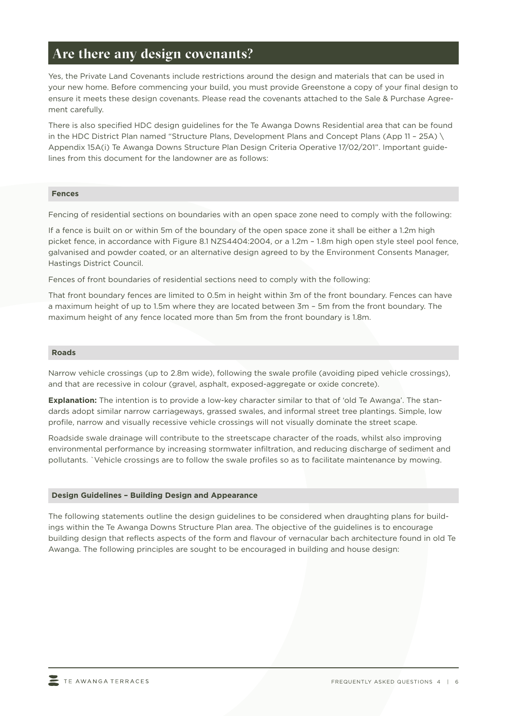#### **Are there any design covenants?**

Yes, the Private Land Covenants include restrictions around the design and materials that can be used in your new home. Before commencing your build, you must provide Greenstone a copy of your final design to ensure it meets these design covenants. Please read the covenants attached to the Sale & Purchase Agreement carefully.

There is also specified HDC design guidelines for the Te Awanga Downs Residential area that can be found in the HDC District Plan named "Structure Plans, Development Plans and Concept Plans (App 11 – 25A) \ Appendix 15A(i) Te Awanga Downs Structure Plan Design Criteria Operative 17/02/201". Important guidelines from this document for the landowner are as follows:

#### **Fences**

Fencing of residential sections on boundaries with an open space zone need to comply with the following:

If a fence is built on or within 5m of the boundary of the open space zone it shall be either a 1.2m high picket fence, in accordance with Figure 8.1 NZS4404:2004, or a 1.2m – 1.8m high open style steel pool fence, galvanised and powder coated, or an alternative design agreed to by the Environment Consents Manager, Hastings District Council.

Fences of front boundaries of residential sections need to comply with the following:

That front boundary fences are limited to 0.5m in height within 3m of the front boundary. Fences can have a maximum height of up to 1.5m where they are located between 3m – 5m from the front boundary. The maximum height of any fence located more than 5m from the front boundary is 1.8m.

#### **Roads**

Narrow vehicle crossings (up to 2.8m wide), following the swale profile (avoiding piped vehicle crossings), and that are recessive in colour (gravel, asphalt, exposed-aggregate or oxide concrete).

**Explanation:** The intention is to provide a low-key character similar to that of 'old Te Awanga'. The standards adopt similar narrow carriageways, grassed swales, and informal street tree plantings. Simple, low profile, narrow and visually recessive vehicle crossings will not visually dominate the street scape.

Roadside swale drainage will contribute to the streetscape character of the roads, whilst also improving environmental performance by increasing stormwater infiltration, and reducing discharge of sediment and pollutants. `Vehicle crossings are to follow the swale profiles so as to facilitate maintenance by mowing.

#### **Design Guidelines – Building Design and Appearance**

The following statements outline the design guidelines to be considered when draughting plans for buildings within the Te Awanga Downs Structure Plan area. The objective of the guidelines is to encourage building design that reflects aspects of the form and flavour of vernacular bach architecture found in old Te Awanga. The following principles are sought to be encouraged in building and house design: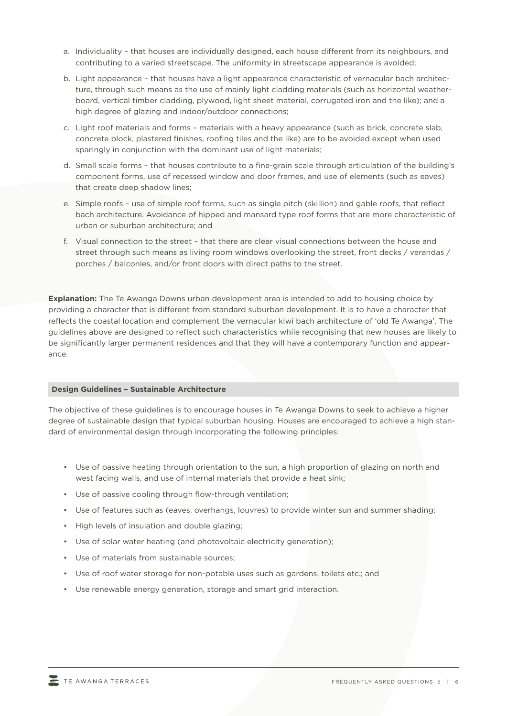- a. Individuality that houses are individually designed, each house different from its neighbours, and contributing to a varied streetscape. The uniformity in streetscape appearance is avoided;
- b. Light appearance that houses have a light appearance characteristic of vernacular bach architecture, through such means as the use of mainly light cladding materials (such as horizontal weatherboard, vertical timber cladding, plywood, light sheet material, corrugated iron and the like); and a high degree of glazing and indoor/outdoor connections;
- c. Light roof materials and forms materials with a heavy appearance (such as brick, concrete slab, concrete block, plastered finishes, roofing tiles and the like) are to be avoided except when used sparingly in conjunction with the dominant use of light materials;
- d. Small scale forms that houses contribute to a fine-grain scale through articulation of the building's component forms, use of recessed window and door frames, and use of elements (such as eaves) that create deep shadow lines;
- e. Simple roofs use of simple roof forms, such as single pitch (skillion) and gable roofs, that reflect bach architecture. Avoidance of hipped and mansard type roof forms that are more characteristic of urban or suburban architecture; and
- f. Visual connection to the street that there are clear visual connections between the house and street through such means as living room windows overlooking the street, front decks / verandas / porches / balconies, and/or front doors with direct paths to the street.

**Explanation:** The Te Awanga Downs urban development area is intended to add to housing choice by providing a character that is different from standard suburban development. It is to have a character that reflects the coastal location and complement the vernacular kiwi bach architecture of 'old Te Awanga'. The guidelines above are designed to reflect such characteristics while recognising that new houses are likely to be significantly larger permanent residences and that they will have a contemporary function and appearance.

#### **Design Guidelines – Sustainable Architecture**

The objective of these guidelines is to encourage houses in Te Awanga Downs to seek to achieve a higher degree of sustainable design that typical suburban housing. Houses are encouraged to achieve a high standard of environmental design through incorporating the following principles:

- Use of passive heating through orientation to the sun, a high proportion of glazing on north and west facing walls, and use of internal materials that provide a heat sink;
- Use of passive cooling through flow-through ventilation;
- Use of features such as (eaves, overhangs, louvres) to provide winter sun and summer shading;
- High levels of insulation and double glazing;
- Use of solar water heating (and photovoltaic electricity generation);
- Use of materials from sustainable sources;
- Use of roof water storage for non-potable uses such as gardens, toilets etc.; and
- Use renewable energy generation, storage and smart grid interaction.